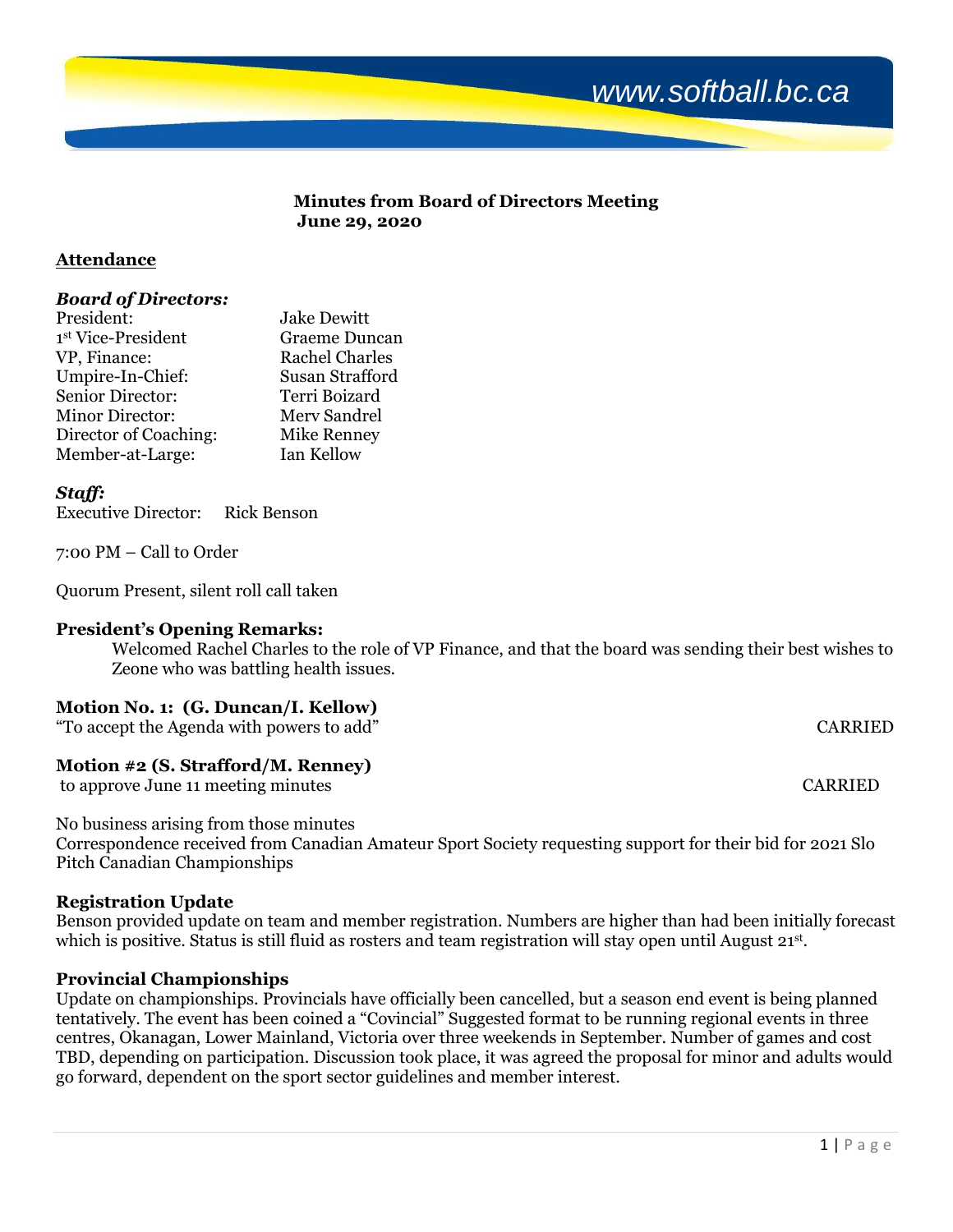

#### **Minutes from Board of Directors Meeting June 29, 2020**

## **Attendance**

## *Board of Directors:*

| President:             | <b>Jake Dewitt</b>    |
|------------------------|-----------------------|
| 1st Vice-President     | <b>Graeme Duncan</b>  |
| VP, Finance:           | <b>Rachel Charles</b> |
| Umpire-In-Chief:       | Susan Strafford       |
| Senior Director:       | Terri Boizard         |
| <b>Minor Director:</b> | Merv Sandrel          |
| Director of Coaching:  | Mike Renney           |
| Member-at-Large:       | Ian Kellow            |

### *Staff:*

Executive Director: Rick Benson

7:00 PM – Call to Order

Quorum Present, silent roll call taken

## **President's Opening Remarks:**

Welcomed Rachel Charles to the role of VP Finance, and that the board was sending their best wishes to Zeone who was battling health issues.

#### **Motion No. 1: (G. Duncan/I. Kellow)**

"To accept the Agenda with powers to add" CARRIED

## **Motion #2 (S. Strafford/M. Renney)**

to approve June 11 meeting minutes CARRIED

No business arising from those minutes

Correspondence received from Canadian Amateur Sport Society requesting support for their bid for 2021 Slo Pitch Canadian Championships

## **Registration Update**

Benson provided update on team and member registration. Numbers are higher than had been initially forecast which is positive. Status is still fluid as rosters and team registration will stay open until August 21st.

## **Provincial Championships**

Update on championships. Provincials have officially been cancelled, but a season end event is being planned tentatively. The event has been coined a "Covincial" Suggested format to be running regional events in three centres, Okanagan, Lower Mainland, Victoria over three weekends in September. Number of games and cost TBD, depending on participation. Discussion took place, it was agreed the proposal for minor and adults would go forward, dependent on the sport sector guidelines and member interest.